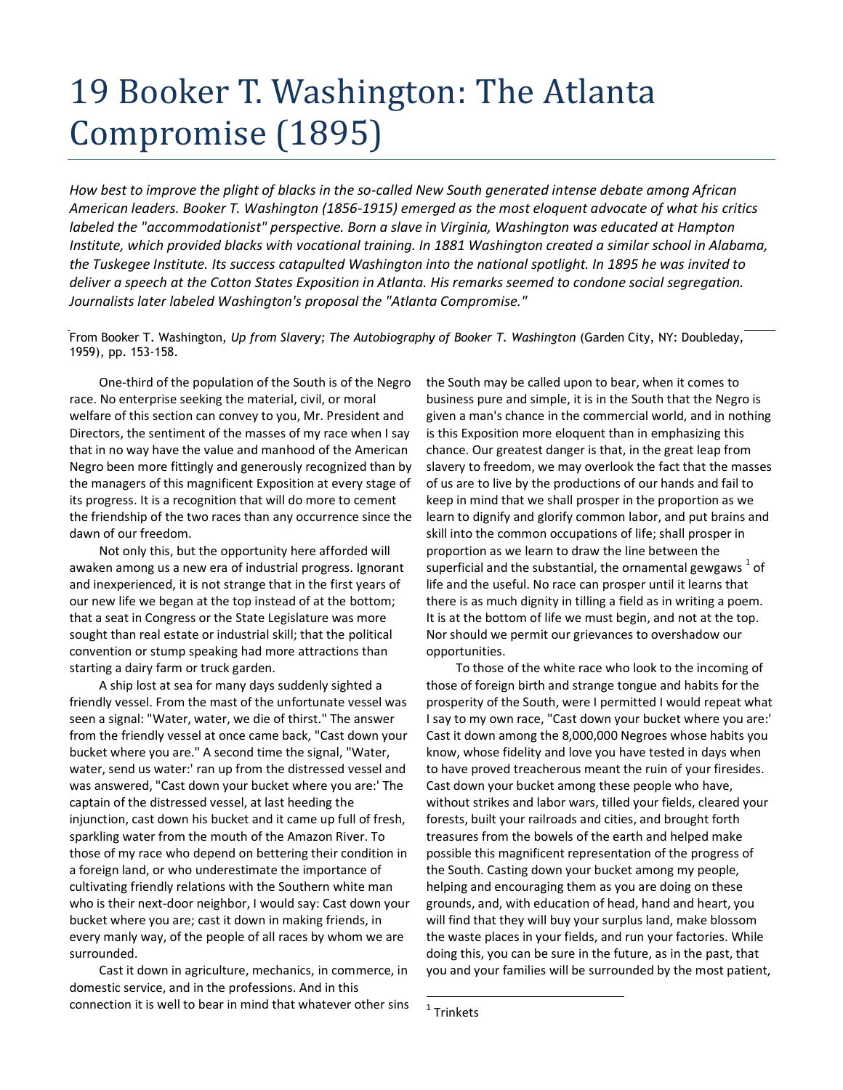## 19 Booker T. Washington: The Atlanta Compromise (1895)

*How best to improve the plight of blacks in the so-called New South generated intense debate among African American leaders. Booker T. Washington (1856-1915) emerged as the most eloquent advocate of what his critics labeled the "accommodationist" perspective. Born a slave in Virginia, Washington was educated at Hampton Institute, which provided blacks with vocational training. In 1881 Washington created a similar school in Alabama, the Tuskegee Institute. Its success catapulted Washington into the national spotlight. In 1895 he was invited to deliver a speech at the Cotton States Exposition in Atlanta. His remarks seemed to condone social segregation. Journalists later labeled Washington's proposal the "Atlanta Compromise."* 

From Booker T. Washington, *Up from Slavery; The Autobiography of Booker T. Washington* (Garden City, NY: Doubleday, 1959), pp. 153-158.

One-third of the population of the South is of the Negro race. No enterprise seeking the material, civil, or moral welfare of this section can convey to you, Mr. President and Directors, the sentiment of the masses of my race when I say that in no way have the value and manhood of the American Negro been more fittingly and generously recognized than by the managers of this magnificent Exposition at every stage of its progress. It is a recognition that will do more to cement the friendship of the two races than any occurrence since the dawn of our freedom.

Not only this, but the opportunity here afforded will awaken among us a new era of industrial progress. Ignorant and inexperienced, it is not strange that in the first years of our new life we began at the top instead of at the bottom; that a seat in Congress or the State Legislature was more sought than real estate or industrial skill; that the political convention or stump speaking had more attractions than starting a dairy farm or truck garden.

A ship lost at sea for many days suddenly sighted a friendly vessel. From the mast of the unfortunate vessel was seen a signal: "Water, water, we die of thirst." The answer from the friendly vessel at once came back, "Cast down your bucket where you are." A second time the signal, "Water, water, send us water:' ran up from the distressed vessel and was answered, "Cast down your bucket where you are:' The captain of the distressed vessel, at last heeding the injunction, cast down his bucket and it came up full of fresh, sparkling water from the mouth of the Amazon River. To those of my race who depend on bettering their condition in a foreign land, or who underestimate the importance of cultivating friendly relations with the Southern white man who is their next-door neighbor, I would say: Cast down your bucket where you are; cast it down in making friends, in every manly way, of the people of all races by whom we are surrounded.

Cast it down in agriculture, mechanics, in commerce, in domestic service, and in the professions. And in this connection it is well to bear in mind that whatever other sins the South may be called upon to bear, when it comes to business pure and simple, it is in the South that the Negro is given a man's chance in the commercial world, and in nothing is this Exposition more eloquent than in emphasizing this chance. Our greatest danger is that, in the great leap from slavery to freedom, we may overlook the fact that the masses of us are to live by the productions of our hands and fail to keep in mind that we shall prosper in the proportion as we learn to dignify and glorify common labor, and put brains and skill into the common occupations of life; shall prosper in proportion as we learn to draw the line between the superficial and the substantial, the ornamental gewgaws  $^{1}$  of life and the useful. No race can prosper until it learns that there is as much dignity in tilling a field as in writing a poem. It is at the bottom of life we must begin, and not at the top. Nor should we permit our grievances to overshadow our opportunities.

To those of the white race who look to the incoming of those of foreign birth and strange tongue and habits for the prosperity of the South, were I permitted I would repeat what I say to my own race, "Cast down your bucket where you are:' Cast it down among the 8,000,000 Negroes whose habits you know, whose fidelity and love you have tested in days when to have proved treacherous meant the ruin of your firesides. Cast down your bucket among these people who have, without strikes and labor wars, tilled your fields, cleared your forests, built your railroads and cities, and brought forth treasures from the bowels of the earth and helped make possible this magnificent representation of the progress of the South. Casting down your bucket among my people, helping and encouraging them as you are doing on these grounds, and, with education of head, hand and heart, you will find that they will buy your surplus land, make blossom the waste places in your fields, and run your factories. While doing this, you can be sure in the future, as in the past, that you and your families will be surrounded by the most patient,

<sup>&</sup>lt;sup>1</sup> Trinkets